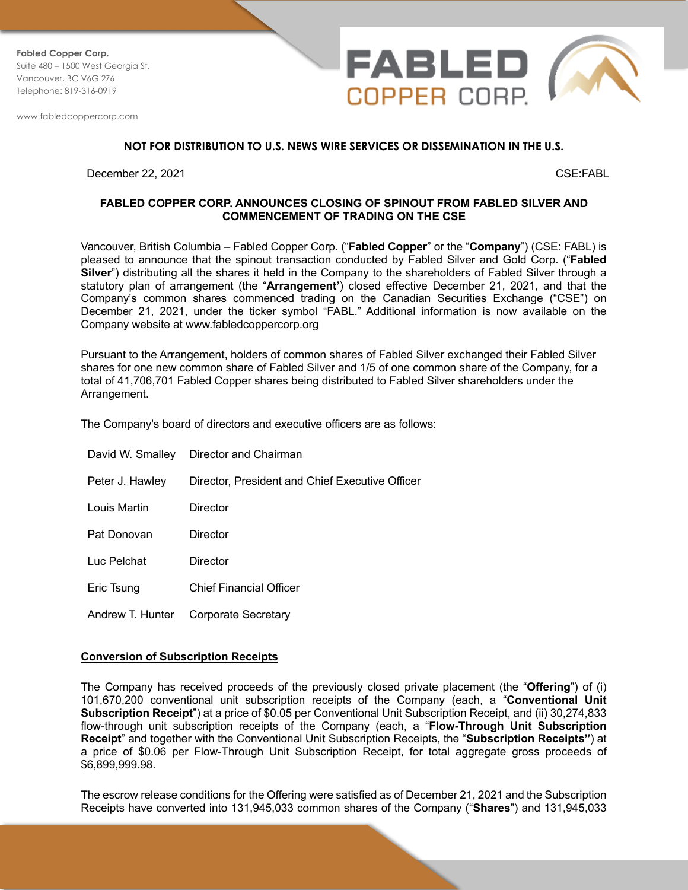**Fabled Copper Corp.** Suite 480 – 1500 West Georgia St. Vancouver, BC V6G 2Z6 Telephone: 819-316-0919

www.fabledcoppercorp.com



## **NOT FOR DISTRIBUTION TO U.S. NEWS WIRE SERVICES OR DISSEMINATION IN THE U.S.**

December 22, 2021 CSE:FABL

## **FABLED COPPER CORP. ANNOUNCES CLOSING OF SPINOUT FROM FABLED SILVER AND COMMENCEMENT OF TRADING ON THE CSE**

Vancouver, British Columbia – Fabled Copper Corp. ("**Fabled Copper**" or the "**Company**") (CSE: FABL) is pleased to announce that the spinout transaction conducted by Fabled Silver and Gold Corp. ("**Fabled Silver**") distributing all the shares it held in the Company to the shareholders of Fabled Silver through a statutory plan of arrangement (the "**Arrangement'**) closed effective December 21, 2021, and that the Company's common shares commenced trading on the Canadian Securities Exchange ("CSE") on December 21, 2021, under the ticker symbol "FABL." Additional information is now available on the Company website at www.fabledcoppercorp.org

Pursuant to the Arrangement, holders of common shares of Fabled Silver exchanged their Fabled Silver shares for one new common share of Fabled Silver and 1/5 of one common share of the Company, for a total of 41,706,701 Fabled Copper shares being distributed to Fabled Silver shareholders under the Arrangement.

The Company's board of directors and executive officers are as follows:

|                 | David W. Smalley Director and Chairman          |
|-----------------|-------------------------------------------------|
| Peter J. Hawley | Director, President and Chief Executive Officer |
| Louis Martin    | Director                                        |
| Pat Donovan     | Director                                        |
| Luc Pelchat     | Director                                        |
| Eric Tsung      | Chief Financial Officer                         |
|                 | Andrew T. Hunter Corporate Secretary            |

#### **Conversion of Subscription Receipts**

The Company has received proceeds of the previously closed private placement (the "**Offering**") of (i) 101,670,200 conventional unit subscription receipts of the Company (each, a "**Conventional Unit Subscription Receipt**") at a price of \$0.05 per Conventional Unit Subscription Receipt, and (ii) 30,274,833 flow-through unit subscription receipts of the Company (each, a "**Flow-Through Unit Subscription Receipt**" and together with the Conventional Unit Subscription Receipts, the "**Subscription Receipts"**) at a price of \$0.06 per Flow-Through Unit Subscription Receipt, for total aggregate gross proceeds of \$6,899,999.98.

The escrow release conditions for the Offering were satisfied as of December 21, 2021 and the Subscription Receipts have converted into 131,945,033 common shares of the Company ("**Shares**") and 131,945,033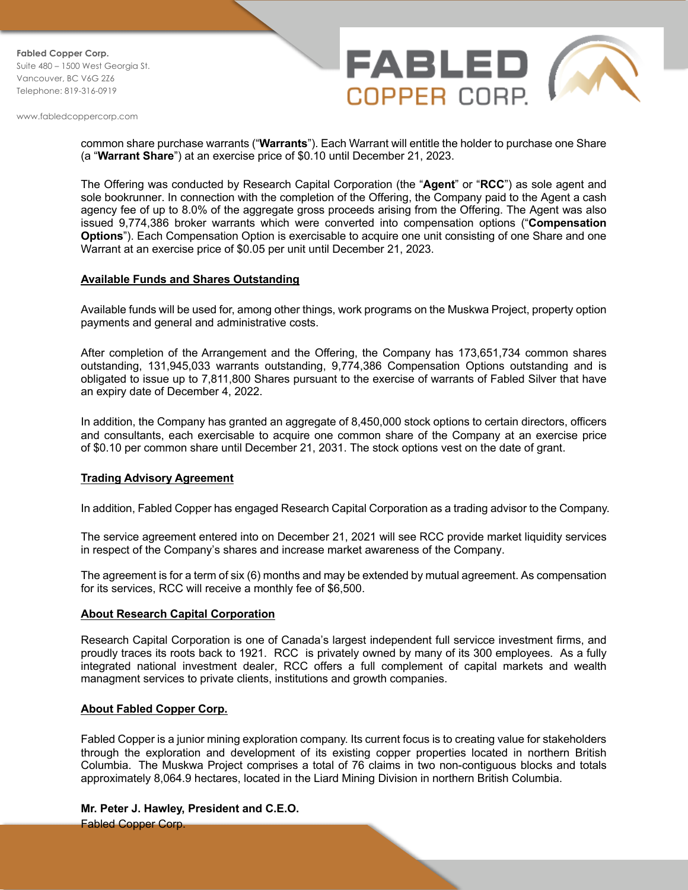**Fabled Copper Corp.** Suite 480 – 1500 West Georgia St. Vancouver, BC V6G 2Z6 Telephone: 819-316-0919

www.fabledcoppercorp.com



common share purchase warrants ("**Warrants**"). Each Warrant will entitle the holder to purchase one Share (a "**Warrant Share**") at an exercise price of \$0.10 until December 21, 2023.

The Offering was conducted by Research Capital Corporation (the "**Agent**" or "**RCC**") as sole agent and sole bookrunner. In connection with the completion of the Offering, the Company paid to the Agent a cash agency fee of up to 8.0% of the aggregate gross proceeds arising from the Offering. The Agent was also issued 9,774,386 broker warrants which were converted into compensation options ("**Compensation Options**"). Each Compensation Option is exercisable to acquire one unit consisting of one Share and one Warrant at an exercise price of \$0.05 per unit until December 21, 2023.

# **Available Funds and Shares Outstanding**

Available funds will be used for, among other things, work programs on the Muskwa Project, property option payments and general and administrative costs.

After completion of the Arrangement and the Offering, the Company has 173,651,734 common shares outstanding, 131,945,033 warrants outstanding, 9,774,386 Compensation Options outstanding and is obligated to issue up to 7,811,800 Shares pursuant to the exercise of warrants of Fabled Silver that have an expiry date of December 4, 2022.

In addition, the Company has granted an aggregate of 8,450,000 stock options to certain directors, officers and consultants, each exercisable to acquire one common share of the Company at an exercise price of \$0.10 per common share until December 21, 2031. The stock options vest on the date of grant.

# **Trading Advisory Agreement**

In addition, Fabled Copper has engaged Research Capital Corporation as a trading advisor to the Company.

The service agreement entered into on December 21, 2021 will see RCC provide market liquidity services in respect of the Company's shares and increase market awareness of the Company.

The agreement is for a term of six (6) months and may be extended by mutual agreement. As compensation for its services, RCC will receive a monthly fee of \$6,500.

### **About Research Capital Corporation**

Research Capital Corporation is one of Canada's largest independent full servicce investment firms, and proudly traces its roots back to 1921. RCC is privately owned by many of its 300 employees. As a fully integrated national investment dealer, RCC offers a full complement of capital markets and wealth managment services to private clients, institutions and growth companies.

### **About Fabled Copper Corp.**

Fabled Copper is a junior mining exploration company. Its current focus is to creating value for stakeholders through the exploration and development of its existing copper properties located in northern British Columbia. The Muskwa Project comprises a total of 76 claims in two non-contiguous blocks and totals approximately 8,064.9 hectares, located in the Liard Mining Division in northern British Columbia.

# **Mr. Peter J. Hawley, President and C.E.O.**

Fabled Copper Corp.